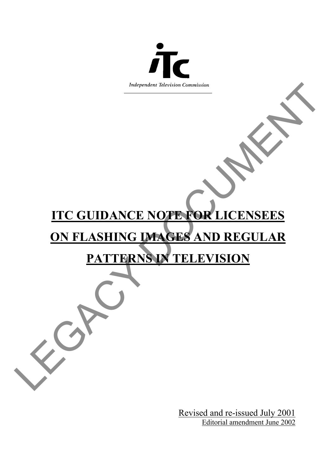

# HARRIST CONNECTION ON THE GUIDANCE NOTE FOR LICENSEES **ITC GUIDANCE NOTE FOR LICENSEES**

# **ON FLASHING IMAGES AND REGULAR**

## **PATTERNS IN TELEVISION**

Revised and re-issued July 2001 Editorial amendment June 2002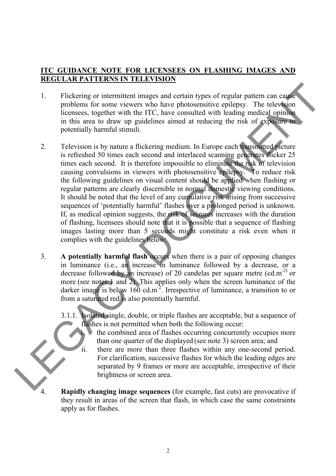### **ITC GUIDANCE NOTE FOR LICENSEES ON FLASHING IMAGES AND REGULAR PATTERNS IN TELEVISION**

- 1. Flickering or intermittent images and certain types of regular pattern can cause problems for some viewers who have photosensitive epilepsy. The television licensees, together with the ITC, have consulted with leading medical opinion in this area to draw up guidelines aimed at reducing the risk of exposure to potentially harmful stimuli.
- This<br>dering or intermittent images and certain types of regular pattern can experiment<br>problems (its one veloces who have photosensitive epitelys. The television<br>in this area to draw up guidelines aimed at reducing medica 2. Television is by nature a flickering medium. In Europe each transmitted picture is refreshed 50 times each second and interlaced scanning generates flicker 25 times each second. It is therefore impossible to eliminate the risk of television causing convulsions in viewers with photosensitive epilepsy. To reduce risk the following guidelines on visual content should be applied when flashing or regular patterns are clearly discernible in normal domestic viewing conditions. It should be noted that the level of any cumulative risk arising from successive sequences of 'potentially harmful' flashes over a prolonged period is unknown. If, as medical opinion suggests, the risk of seizures increases with the duration of flashing, licensees should note that it is possible that a sequence of flashing images lasting more than 5 seconds might constitute a risk even when it complies with the guidelines below:
	- 3. **A potentially harmful flash** occurs when there is a pair of opposing changes in luminance (i.e., an increase in luminance followed by a decrease, or a decrease followed by an increase) of 20 candelas per square metre  $(cd.m^{-2})$  or more (see notes 1 and 2). This applies only when the screen luminance of the darker image is below 160 cd.m<sup>-2</sup>. Irrespective of luminance, a transition to or from a saturated red is also potentially harmful.
		- 3.1.1. Isolated single, double, or triple flashes are acceptable, but a sequence of flashes is not permitted when both the following occur:
			- the combined area of flashes occurring concurrently occupies more than one quarter of the displayed (see note 3) screen area; and
			- there are more than three flashes within any one-second period. For clarification, successive flashes for which the leading edges are separated by 9 frames or more are acceptable, irrespective of their brightness or screen area.
		- **Rapidly changing image sequences** (for example, fast cuts) are provocative if they result in areas of the screen that flash, in which case the same constraints apply as for flashes.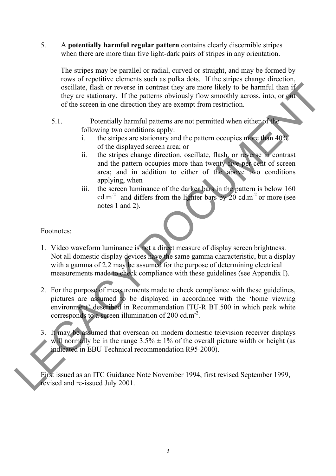5. A **potentially harmful regular pattern** contains clearly discernible stripes when there are more than five light-dark pairs of stripes in any orientation.

The stripes may be parallel or radial, curved or straight, and may be formed by rows of repetitive elements such as polka dots. If the stripes change direction, oscillate, flash or reverse in contrast they are more likely to be harmful than if they are stationary. If the patterns obviously flow smoothly across, into, or out of the screen in one direction they are exempt from restriction.

- 5.1. Potentially harmful patterns are not permitted when either of the following two conditions apply:
	- i. the stripes are stationary and the pattern occupies more than 40% of the displayed screen area; or
	- ii. the stripes change direction, oscillate, flash, or reverse in contrast and the pattern occupies more than twenty five per cent of screen area; and in addition to either of the above two conditions applying, when
	- iii. the screen luminance of the darker bars in the pattern is below 160 cd.m<sup>-2</sup> and differs from the lighter bars by  $20 \text{ cd.m}^{-2}$  or more (see notes 1 and 2).

### Footnotes:

- 1. Video waveform luminance is not a direct measure of display screen brightness. Not all domestic display devices have the same gamma characteristic, but a display with a gamma of 2.2 may be assumed for the purpose of determining electrical measurements made to check compliance with these guidelines (see Appendix I).
- oscillate, that or reverse in countries they are monitorly to be harmful than the stress into or production they are stationary. If the putterns obviously flow smoothly across, into, or given the stress in one direction t 2. For the purpose of measurements made to check compliance with these guidelines, pictures are assumed to be displayed in accordance with the 'home viewing environment' described in Recommendation ITU-R BT.500 in which peak white corresponds to a screen illumination of 200 cd.m<sup>-2</sup>.
	- 3. It may be assumed that overscan on modern domestic television receiver displays will normally be in the range  $3.5\% \pm 1\%$  of the overall picture width or height (as indicated in EBU Technical recommendation R95-2000).

First issued as an ITC Guidance Note November 1994, first revised September 1999, revised and re-issued July 2001.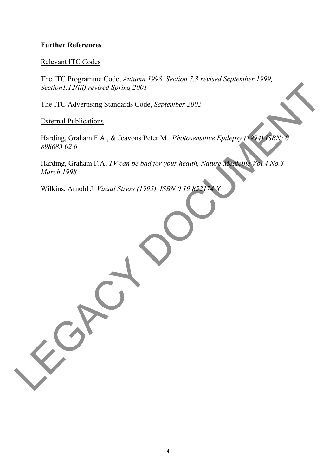### **Further References**

### Relevant ITC Codes

The ITC Programme Code, *Autumn 1998, Section 7.3 revised September 1999, Section1.12(iii) revised Spring 2001*

The ITC Advertising Standards Code, *September 2002*

External Publications

Section / 12(ii) revised Spring 2001<br>The ITC Adventsing Standards Code, September 2002<br>External Publications<br>Harding, Graham F.A., & Jeavens Peter M. Photosensitive Epilepsy (1961) SBN 0-8<br>Harding, Graham F.A. TV can be ba Harding, Graham F.A., & Jeavons Peter M. Photosensitive Epilepsy (1994) ISBN: *898683 02 6*

Harding, Graham F.A. *TV can be bad for your health, Nature Medicine Vol.4 No.3 March 1998*

Wilkins, Arnold J. *Visual Stress (1995) ISBN 0 19 8521*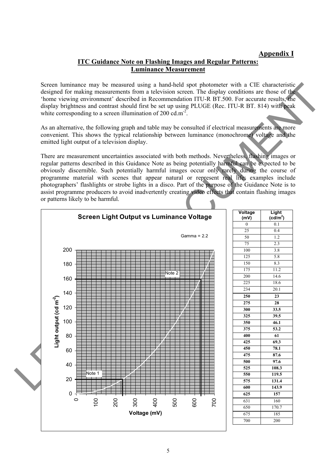### **Appendix I**

### **ITC Guidance Note on Flashing Images and Regular Patterns: Luminance Measurement**

Screen luminance may be measured using a hand-held spot photometer with a CIE characteristic designed for making measurements from a television screen. The display conditions are those of the 'home viewing environment' described in Recommendation ITU-R BT.500. For accurate results, the display brightness and contrast should first be set up using PLUGE (Rec. ITU-R BT. 814) with peak white corresponding to a screen illumination of 200 cd.m<sup>-2</sup>.

As an alternative, the following graph and table may be consulted if electrical measurements are more convenient. This shows the typical relationship between luminance (monochrome) voltage and the emitted light output of a television display.

There are measurement uncertainties associated with both methods. Nevertheless, flashing images or regular patterns described in this Guidance Note as being potentially harmful can be expected to be obviously discernible. Such potentially harmful images occur only rarely during the course of programme material with scenes that appear natural or represent real life; examples include photographers' flashlights or strobe lights in a disco. Part of the purpose of the Guidance Note is to assist programme producers to avoid inadvertently creating video effects that contain flashing images or patterns likely to be harmful.